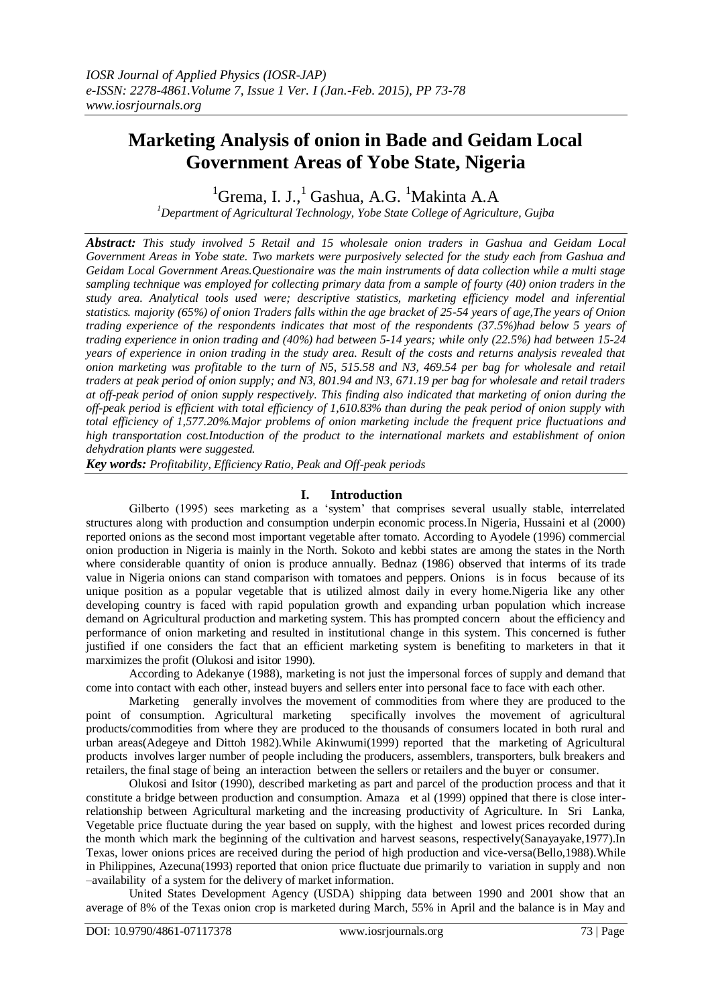# **Marketing Analysis of onion in Bade and Geidam Local Government Areas of Yobe State, Nigeria**

 ${}^{1}$ Grema, I. J., ${}^{1}$  Gashua, A.G.  ${}^{1}$ Makinta A.A

*<sup>1</sup>Department of Agricultural Technology, Yobe State College of Agriculture, Gujba*

*Abstract: This study involved 5 Retail and 15 wholesale onion traders in Gashua and Geidam Local Government Areas in Yobe state. Two markets were purposively selected for the study each from Gashua and Geidam Local Government Areas.Questionaire was the main instruments of data collection while a multi stage sampling technique was employed for collecting primary data from a sample of fourty (40) onion traders in the study area. Analytical tools used were; descriptive statistics, marketing efficiency model and inferential statistics. majority (65%) of onion Traders falls within the age bracket of 25-54 years of age,The years of Onion trading experience of the respondents indicates that most of the respondents (37.5%)had below 5 years of trading experience in onion trading and (40%) had between 5-14 years; while only (22.5%) had between 15-24 years of experience in onion trading in the study area. Result of the costs and returns analysis revealed that onion marketing was profitable to the turn of N5, 515.58 and N3, 469.54 per bag for wholesale and retail traders at peak period of onion supply; and N3, 801.94 and N3, 671.19 per bag for wholesale and retail traders at off-peak period of onion supply respectively. This finding also indicated that marketing of onion during the off-peak period is efficient with total efficiency of 1,610.83% than during the peak period of onion supply with total efficiency of 1,577.20%.Major problems of onion marketing include the frequent price fluctuations and high transportation cost.Intoduction of the product to the international markets and establishment of onion dehydration plants were suggested.*

*Key words: Profitability, Efficiency Ratio, Peak and Off-peak periods*

## **I. Introduction**

Gilberto (1995) sees marketing as a 'system' that comprises several usually stable, interrelated structures along with production and consumption underpin economic process.In Nigeria, Hussaini et al (2000) reported onions as the second most important vegetable after tomato. According to Ayodele (1996) commercial onion production in Nigeria is mainly in the North. Sokoto and kebbi states are among the states in the North where considerable quantity of onion is produce annually. Bednaz (1986) observed that interms of its trade value in Nigeria onions can stand comparison with tomatoes and peppers. Onions is in focus because of its unique position as a popular vegetable that is utilized almost daily in every home.Nigeria like any other developing country is faced with rapid population growth and expanding urban population which increase demand on Agricultural production and marketing system. This has prompted concern about the efficiency and performance of onion marketing and resulted in institutional change in this system. This concerned is futher justified if one considers the fact that an efficient marketing system is benefiting to marketers in that it marximizes the profit (Olukosi and isitor 1990).

According to Adekanye (1988), marketing is not just the impersonal forces of supply and demand that come into contact with each other, instead buyers and sellers enter into personal face to face with each other.

Marketing generally involves the movement of commodities from where they are produced to the point of consumption. Agricultural marketing specifically involves the movement of agricultural products/commodities from where they are produced to the thousands of consumers located in both rural and urban areas(Adegeye and Dittoh 1982).While Akinwumi(1999) reported that the marketing of Agricultural products involves larger number of people including the producers, assemblers, transporters, bulk breakers and retailers, the final stage of being an interaction between the sellers or retailers and the buyer or consumer.

Olukosi and Isitor (1990), described marketing as part and parcel of the production process and that it constitute a bridge between production and consumption. Amaza et al (1999) oppined that there is close interrelationship between Agricultural marketing and the increasing productivity of Agriculture. In Sri Lanka, Vegetable price fluctuate during the year based on supply, with the highest and lowest prices recorded during the month which mark the beginning of the cultivation and harvest seasons, respectively(Sanayayake,1977).In Texas, lower onions prices are received during the period of high production and vice-versa(Bello,1988).While in Philippines, Azecuna(1993) reported that onion price fluctuate due primarily to variation in supply and non –availability of a system for the delivery of market information.

United States Development Agency (USDA) shipping data between 1990 and 2001 show that an average of 8% of the Texas onion crop is marketed during March, 55% in April and the balance is in May and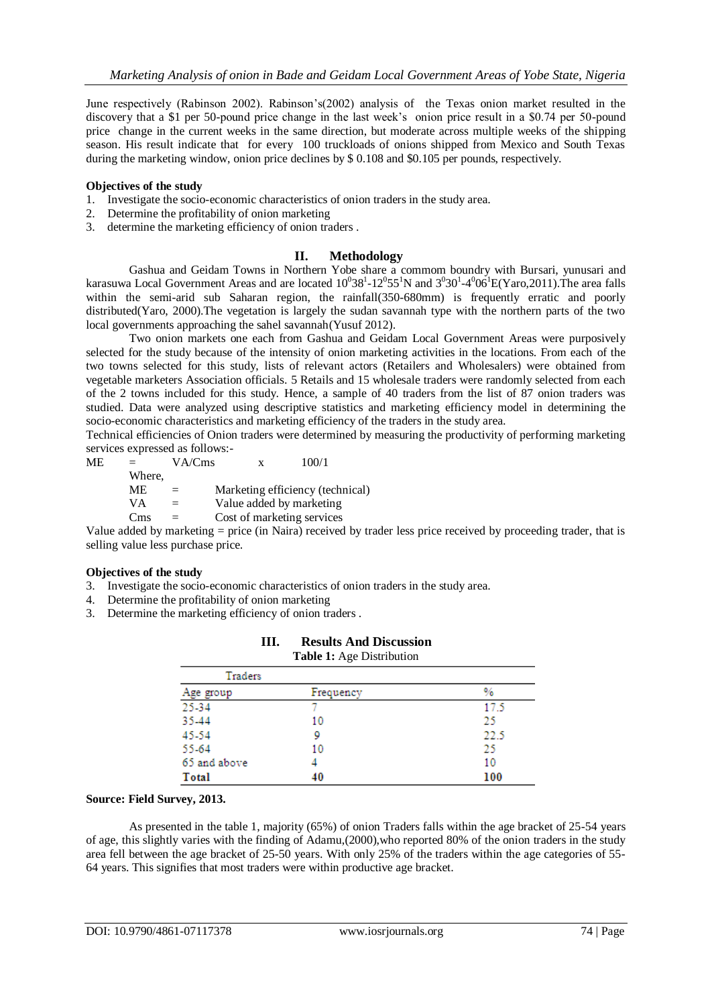June respectively (Rabinson 2002). Rabinson"s(2002) analysis of the Texas onion market resulted in the discovery that a \$1 per 50-pound price change in the last week's onion price result in a \$0.74 per 50-pound price change in the current weeks in the same direction, but moderate across multiple weeks of the shipping season. His result indicate that for every 100 truckloads of onions shipped from Mexico and South Texas during the marketing window, onion price declines by \$ 0.108 and \$0.105 per pounds, respectively.

#### **Objectives of the study**

- 1. Investigate the socio-economic characteristics of onion traders in the study area.
- 2. Determine the profitability of onion marketing
- 3. determine the marketing efficiency of onion traders .

## **II. Methodology**

Gashua and Geidam Towns in Northern Yobe share a commom boundry with Bursari, yunusari and karasuwa Local Government Areas and are located  $10^038^1$ -12 $^055^1$ N and  $3^030^1$ -4 $^006^1$ E(Yaro,2011).The area falls within the semi-arid sub Saharan region, the rainfall(350-680mm) is frequently erratic and poorly distributed(Yaro, 2000).The vegetation is largely the sudan savannah type with the northern parts of the two local governments approaching the sahel savannah(Yusuf 2012).

Two onion markets one each from Gashua and Geidam Local Government Areas were purposively selected for the study because of the intensity of onion marketing activities in the locations. From each of the two towns selected for this study, lists of relevant actors (Retailers and Wholesalers) were obtained from vegetable marketers Association officials. 5 Retails and 15 wholesale traders were randomly selected from each of the 2 towns included for this study. Hence, a sample of 40 traders from the list of 87 onion traders was studied. Data were analyzed using descriptive statistics and marketing efficiency model in determining the socio-economic characteristics and marketing efficiency of the traders in the study area.

Technical efficiencies of Onion traders were determined by measuring the productivity of performing marketing services expressed as follows:-

 $ME = VA/Cms$  x  $100/1$ Where, ME = Marketing efficiency (technical)  $VA = Value added by marketing$  $Cms = Cost of marketing services$ 

Value added by marketing = price (in Naira) received by trader less price received by proceeding trader, that is selling value less purchase price.

#### **Objectives of the study**

- 3. Investigate the socio-economic characteristics of onion traders in the study area.
- 4. Determine the profitability of onion marketing
- 3. Determine the marketing efficiency of onion traders .

| Traders      |           |      |
|--------------|-----------|------|
| Age group    | Frequency | %    |
| 25-34        |           | 17.5 |
| 35-44        | 10        | 25   |
| 45-54        |           | 22.5 |
| 55-64        | 10        | 25   |
| 65 and above |           | 10   |
| Total        | 40        | 100  |

#### **III. Results And Discussion Table 1:** Age Distribution

#### **Source: Field Survey, 2013.**

As presented in the table 1, majority (65%) of onion Traders falls within the age bracket of 25-54 years of age, this slightly varies with the finding of Adamu,(2000),who reported 80% of the onion traders in the study area fell between the age bracket of 25-50 years. With only 25% of the traders within the age categories of 55- 64 years. This signifies that most traders were within productive age bracket.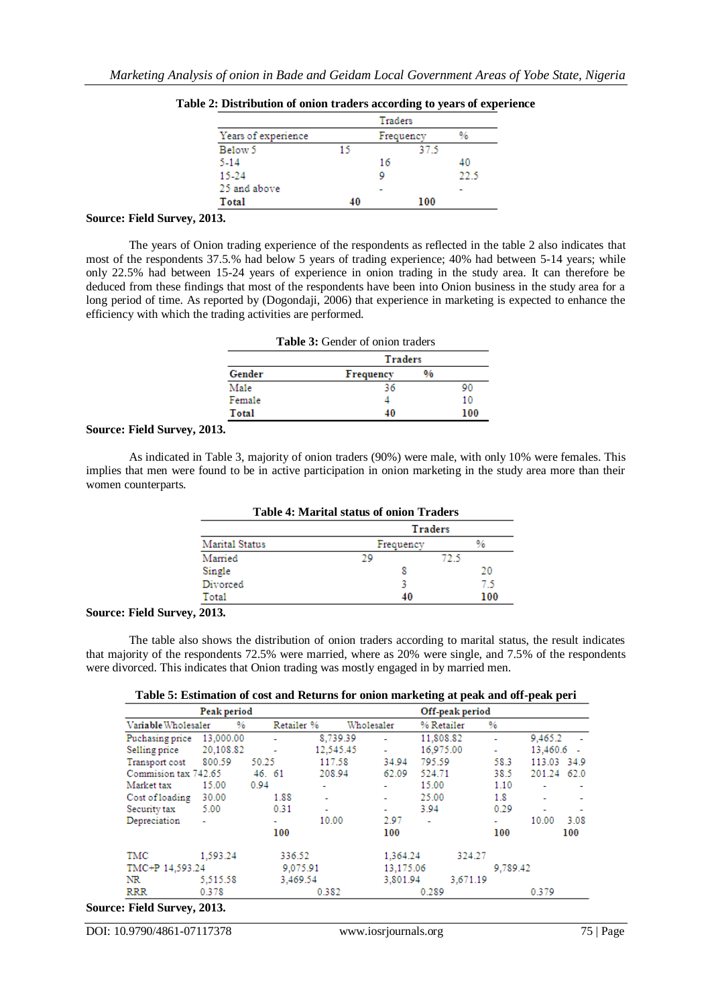|                     |    | Traders   |      |
|---------------------|----|-----------|------|
| Years of experience |    | Frequency | %    |
| Below 5             | 15 | 37.5      |      |
| 5-14                |    | 16        | 40   |
| 15-24               |    |           | 22.5 |
| 25 and above        |    |           |      |
| Total               | 40 | 100       |      |

|  | Table 2: Distribution of onion traders according to years of experience |  |  |  |  |
|--|-------------------------------------------------------------------------|--|--|--|--|
|  |                                                                         |  |  |  |  |

# **Source: Field Survey, 2013.**

The years of Onion trading experience of the respondents as reflected in the table 2 also indicates that most of the respondents 37.5.% had below 5 years of trading experience; 40% had between 5-14 years; while only 22.5% had between 15-24 years of experience in onion trading in the study area. It can therefore be deduced from these findings that most of the respondents have been into Onion business in the study area for a long period of time. As reported by (Dogondaji, 2006) that experience in marketing is expected to enhance the efficiency with which the trading activities are performed.

| Table 3: Gender of onion traders |           |               |     |  |  |  |
|----------------------------------|-----------|---------------|-----|--|--|--|
| Traders                          |           |               |     |  |  |  |
| Gender                           | Frequency | $\frac{0}{6}$ |     |  |  |  |
| Male                             | 36        |               | 90  |  |  |  |
| Female                           |           |               | 10  |  |  |  |
| Total                            | 40        |               | 100 |  |  |  |

#### **Source: Field Survey, 2013.**

As indicated in Table 3, majority of onion traders (90%) were male, with only 10% were females. This implies that men were found to be in active participation in onion marketing in the study area more than their women counterparts.

| <b>Table 4: Marital status of onion Traders</b> |                |  |  |  |  |  |
|-------------------------------------------------|----------------|--|--|--|--|--|
|                                                 | <b>Traders</b> |  |  |  |  |  |
| Frequency                                       | %              |  |  |  |  |  |
| 29                                              | 72.5           |  |  |  |  |  |
|                                                 | 20             |  |  |  |  |  |
|                                                 | 7.5            |  |  |  |  |  |
|                                                 | 100<br>40      |  |  |  |  |  |
|                                                 |                |  |  |  |  |  |

## **Source: Field Survey, 2013.**

The table also shows the distribution of onion traders according to marital status, the result indicates that majority of the respondents 72.5% were married, where as 20% were single, and 7.5% of the respondents were divorced. This indicates that Onion trading was mostly engaged in by married men.

| Table 5: Estimation of cost and Returns for onion marketing at peak and off-peak peri |  |  |  |  |  |
|---------------------------------------------------------------------------------------|--|--|--|--|--|
|---------------------------------------------------------------------------------------|--|--|--|--|--|

|                       | Peak period |            |                          |                          |                | Off-peak period |          |             |      |
|-----------------------|-------------|------------|--------------------------|--------------------------|----------------|-----------------|----------|-------------|------|
| Variable Wholesaler   | %           | Retailer % |                          | Wholesaler               | % Retailer     |                 | %        |             |      |
| Puchasing price       | 13,000.00   | ÷          | 8,739.39                 |                          | 11,808.82      |                 | ۰        | 9,465.2     |      |
| Selling price         | 20,108.82   |            | 12.545.45                | ٠                        | 16.975.00      |                 | ۰        | 13.460.6    |      |
| Transport cost        | 800.59      | 50.25      | 117.58                   | 34.94                    | 795.59         |                 | 58.3     | 113.03 34.9 |      |
| Commission tax 742.65 |             | 46. 61     | 208.94                   | 62.09                    | 524.71         |                 | 38.5     | 201.24 62.0 |      |
| Market tax            | 15.00       | 0.94       | ۰                        |                          | 15.00          |                 | 1.10     |             |      |
| Cost of loading       | 30.00       | 1.88       |                          |                          | 25.00          |                 | 1.8      | ۰           |      |
| Security tax          | 5.00        | 0.31       | $\overline{\phantom{a}}$ | $\overline{\phantom{a}}$ | 3.94           |                 | 0.29     | ۰           | ۰    |
| Depreciation          | ٠           | ۰          | 10.00                    | 2.97                     | $\overline{a}$ |                 | ۰        | 10.00       | 3.08 |
|                       |             | 100        |                          | 100                      |                |                 | 100      |             | 100  |
| TMC                   | 1.593.24    | 336.52     |                          | 1,364.24                 |                | 324.27          |          |             |      |
| TMC+P 14.593.24       |             | 9.075.91   |                          | 13,175.06                |                |                 | 9.789.42 |             |      |
| NR                    | 5.515.58    | 3,469.54   |                          | 3,801.94                 |                | 3.671.19        |          |             |      |
| <b>RRR</b>            | 0.378       |            | 0.382                    |                          | 0.289          |                 |          | 0.379       |      |

#### **Source: Field Survey, 2013.**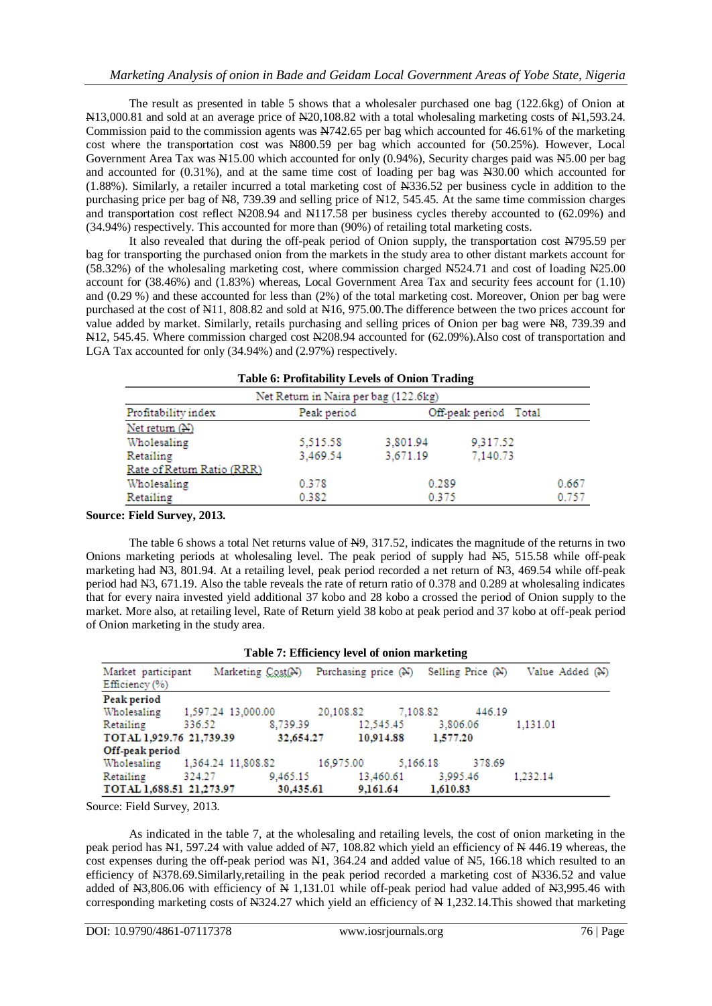The result as presented in table 5 shows that a wholesaler purchased one bag (122.6kg) of Onion at N13,000.81 and sold at an average price of N20,108.82 with a total wholesaling marketing costs of N1,593.24. Commission paid to the commission agents was N742.65 per bag which accounted for 46.61% of the marketing cost where the transportation cost was N800.59 per bag which accounted for (50.25%). However, Local Government Area Tax was N15.00 which accounted for only (0.94%), Security charges paid was N5.00 per bag and accounted for (0.31%), and at the same time cost of loading per bag was N30.00 which accounted for (1.88%). Similarly, a retailer incurred a total marketing cost of N336.52 per business cycle in addition to the purchasing price per bag of N8, 739.39 and selling price of N12, 545.45. At the same time commission charges and transportation cost reflect N208.94 and N117.58 per business cycles thereby accounted to (62.09%) and (34.94%) respectively. This accounted for more than (90%) of retailing total marketing costs.

It also revealed that during the off-peak period of Onion supply, the transportation cost N795.59 per bag for transporting the purchased onion from the markets in the study area to other distant markets account for (58.32%) of the wholesaling marketing cost, where commission charged N524.71 and cost of loading N25.00 account for (38.46%) and (1.83%) whereas, Local Government Area Tax and security fees account for (1.10) and (0.29 %) and these accounted for less than (2%) of the total marketing cost. Moreover, Onion per bag were purchased at the cost of N11, 808.82 and sold at N16, 975.00.The difference between the two prices account for value added by market. Similarly, retails purchasing and selling prices of Onion per bag were N8, 739.39 and N12, 545.45. Where commission charged cost N208.94 accounted for (62.09%).Also cost of transportation and LGA Tax accounted for only (34.94%) and (2.97%) respectively.

| <b>Table 6: Profitability Levels of Onion Trading</b>       |          |          |          |       |  |  |  |  |  |
|-------------------------------------------------------------|----------|----------|----------|-------|--|--|--|--|--|
| Net Return in Naira per bag (122.6kg)                       |          |          |          |       |  |  |  |  |  |
| Profitability index<br>Peak period<br>Off-peak period Total |          |          |          |       |  |  |  |  |  |
| Net return (N)                                              |          |          |          |       |  |  |  |  |  |
| Wholesaling                                                 | 5.515.58 | 3.801.94 | 9.317.52 |       |  |  |  |  |  |
| Retailing                                                   | 3,469.54 | 3,671.19 | 7,140.73 |       |  |  |  |  |  |
| Rate of Return Ratio (RRR)                                  |          |          |          |       |  |  |  |  |  |
| Wholesaling                                                 | 0.378    | 0.289    |          | 0.667 |  |  |  |  |  |
| Retailing                                                   | 0.382    | 0.375    |          | 0.757 |  |  |  |  |  |

#### **Source: Field Survey, 2013.**

The table 6 shows a total Net returns value of N9, 317.52, indicates the magnitude of the returns in two Onions marketing periods at wholesaling level. The peak period of supply had N5, 515.58 while off-peak marketing had N3, 801.94. At a retailing level, peak period recorded a net return of N3, 469.54 while off-peak period had N3, 671.19. Also the table reveals the rate of return ratio of 0.378 and 0.289 at wholesaling indicates that for every naira invested yield additional 37 kobo and 28 kobo a crossed the period of Onion supply to the market. More also, at retailing level, Rate of Return yield 38 kobo at peak period and 37 kobo at off-peak period of Onion marketing in the study area.

|  |  |  |  | Table 7: Efficiency level of onion marketing |
|--|--|--|--|----------------------------------------------|
|--|--|--|--|----------------------------------------------|

| Market participant<br>Efficiency (%) |                                | Marketing Cost(N) |           | Purchasing price (N) Selling Price (N) |          |        | Value Added (N) |
|--------------------------------------|--------------------------------|-------------------|-----------|----------------------------------------|----------|--------|-----------------|
| Peak period                          |                                |                   |           |                                        |          |        |                 |
| Wholesaling                          | 1,597.24 13,000.00             |                   | 20.108.82 | 7.108.82                               |          | 446.19 |                 |
| Retailing                            | 336.52                         | 8,739.39          |           | 12,545.45                              | 3,806.06 |        | 1,131.01        |
| TOTAL 1,929.76 21,739.39             |                                | 32,654.27         |           | 10.914.88                              | 1,577.20 |        |                 |
| Off-peak period                      |                                |                   |           |                                        |          |        |                 |
|                                      | Wholesaling 1,364.24 11,808.82 |                   | 16.975.00 | 5,166.18                               |          | 378.69 |                 |
| Retailing                            | 324.27                         | 9,465.15          |           | 13,460.61                              | 3.995.46 |        | 1.232.14        |
| TOTAL 1,688.51 21,273.97             |                                | 30,435.61         |           | 9,161.64                               | 1,610.83 |        |                 |

Source: Field Survey, 2013.

As indicated in the table 7, at the wholesaling and retailing levels, the cost of onion marketing in the peak period has N1, 597.24 with value added of N7, 108.82 which yield an efficiency of N 446.19 whereas, the cost expenses during the off-peak period was N1, 364.24 and added value of N5, 166.18 which resulted to an efficiency of N378.69.Similarly,retailing in the peak period recorded a marketing cost of N336.52 and value added of N3,806.06 with efficiency of N 1,131.01 while off-peak period had value added of N3,995.46 with corresponding marketing costs of  $N324.27$  which yield an efficiency of N 1,232.14. This showed that marketing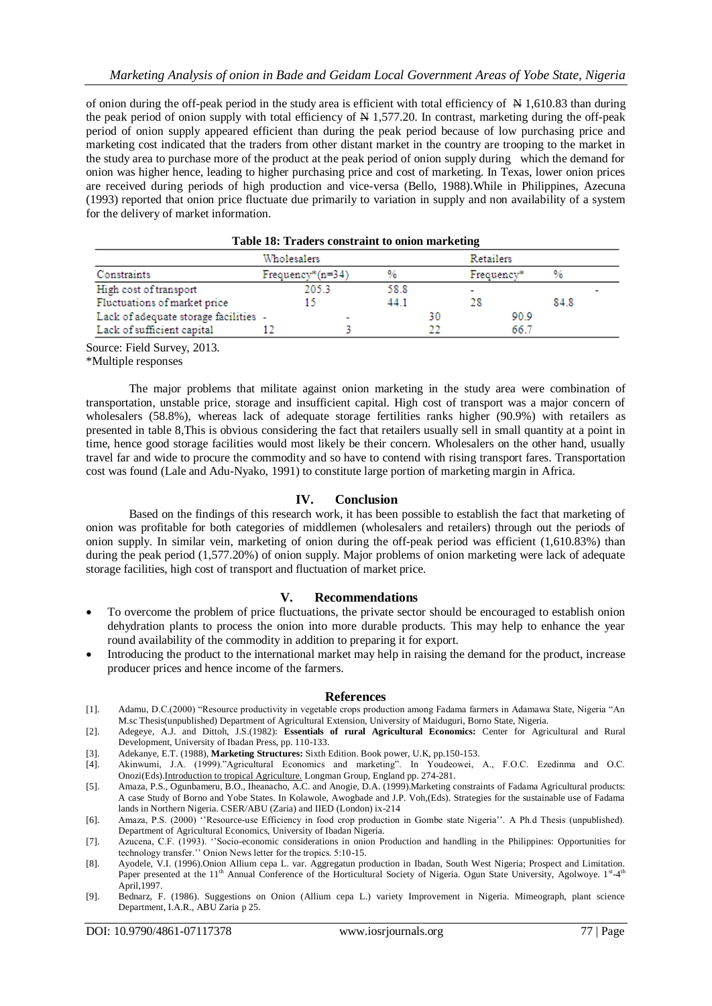of onion during the off-peak period in the study area is efficient with total efficiency of  $N$  1,610.83 than during the peak period of onion supply with total efficiency of  $\overline{N}$  1,577.20. In contrast, marketing during the off-peak period of onion supply appeared efficient than during the peak period because of low purchasing price and marketing cost indicated that the traders from other distant market in the country are trooping to the market in the study area to purchase more of the product at the peak period of onion supply during which the demand for onion was higher hence, leading to higher purchasing price and cost of marketing. In Texas, lower onion prices are received during periods of high production and vice-versa (Bello, 1988).While in Philippines, Azecuna (1993) reported that onion price fluctuate due primarily to variation in supply and non availability of a system for the delivery of market information.

| Table To, Trauers constraint to omon marketing |  |      |    |            |      |           |  |  |  |
|------------------------------------------------|--|------|----|------------|------|-----------|--|--|--|
| Wholesalers                                    |  |      |    |            |      |           |  |  |  |
| $Frequency*(n=34)$                             |  | %    |    | Frequency* |      |           |  |  |  |
| 205.3                                          |  | 58.8 |    |            |      |           |  |  |  |
|                                                |  | 44.1 |    | 28         |      | 84.8      |  |  |  |
| Lack of adequate storage facilities -          |  |      | 30 |            | 90.9 |           |  |  |  |
|                                                |  |      |    |            | 66.7 |           |  |  |  |
|                                                |  |      |    |            |      | Retailers |  |  |  |

| Table 18: Traders constraint to onion marketing |  |  |
|-------------------------------------------------|--|--|
|                                                 |  |  |

Source: Field Survey, 2013.

\*Multiple responses

The major problems that militate against onion marketing in the study area were combination of transportation, unstable price, storage and insufficient capital. High cost of transport was a major concern of wholesalers (58.8%), whereas lack of adequate storage fertilities ranks higher (90.9%) with retailers as presented in table 8,This is obvious considering the fact that retailers usually sell in small quantity at a point in time, hence good storage facilities would most likely be their concern. Wholesalers on the other hand, usually travel far and wide to procure the commodity and so have to contend with rising transport fares. Transportation cost was found (Lale and Adu-Nyako, 1991) to constitute large portion of marketing margin in Africa.

## **IV. Conclusion**

Based on the findings of this research work, it has been possible to establish the fact that marketing of onion was profitable for both categories of middlemen (wholesalers and retailers) through out the periods of onion supply. In similar vein, marketing of onion during the off-peak period was efficient (1,610.83%) than during the peak period (1,577.20%) of onion supply. Major problems of onion marketing were lack of adequate storage facilities, high cost of transport and fluctuation of market price.

#### **V. Recommendations**

- To overcome the problem of price fluctuations, the private sector should be encouraged to establish onion dehydration plants to process the onion into more durable products. This may help to enhance the year round availability of the commodity in addition to preparing it for export.
- Introducing the product to the international market may help in raising the demand for the product, increase producer prices and hence income of the farmers.

#### **References**

- [1]. Adamu, D.C.(2000) "Resource productivity in vegetable crops production among Fadama farmers in Adamawa State, Nigeria "An M.sc Thesis(unpublished) Department of Agricultural Extension, University of Maiduguri, Borno State, Nigeria.
- [2]. Adegeye, A.J. and Dittoh, J.S.(1982): **Essentials of rural Agricultural Economics:** Center for Agricultural and Rural Development, University of Ibadan Press, pp. 110-133.
- [3]. Adekanye, E.T. (1988), **Marketing Structures:** Sixth Edition. Book power, U.K, pp.150-153.
- [4]. Akinwumi, J.A. (1999)."Agricultural Economics and marketing". In Youdeowei, A., F.O.C. Ezedinma and O.C. Onozi(Eds).Introduction to tropical Agriculture. Longman Group, England pp. 274-281.
- [5]. Amaza, P.S., Ogunbameru, B.O., Iheanacho, A.C. and Anogie, D.A. (1999).Marketing constraints of Fadama Agricultural products: A case Study of Borno and Yobe States. In Kolawole, Awogbade and J.P. Voh,(Eds). Strategies for the sustainable use of Fadama lands in Northern Nigeria. CSER/ABU (Zaria) and IIED (London) ix-214
- [6]. Amaza, P.S. (2000) "Resource-use Efficiency in food crop production in Gombe state Nigeria". A Ph.d Thesis (unpublished). Department of Agricultural Economics, University of Ibadan Nigeria.
- [7]. Azucena, C.F. (1993). ""Socio-economic considerations in onion Production and handling in the Philippines: Opportunities for technology transfer."" Onion News letter for the tropics. 5:10-15.
- [8]. Ayodele, V.I. (1996).Onion Allium cepa L. var. Aggregatun production in Ibadan, South West Nigeria; Prospect and Limitation.<br>Paper presented at the 11<sup>th</sup> Annual Conference of the Horticultural Society of Nigeria. Ogu April,1997.
- [9]. Bednarz, F. (1986). Suggestions on Onion (Allium cepa L.) variety Improvement in Nigeria. Mimeograph, plant science Department, I.A.R., ABU Zaria p 25.